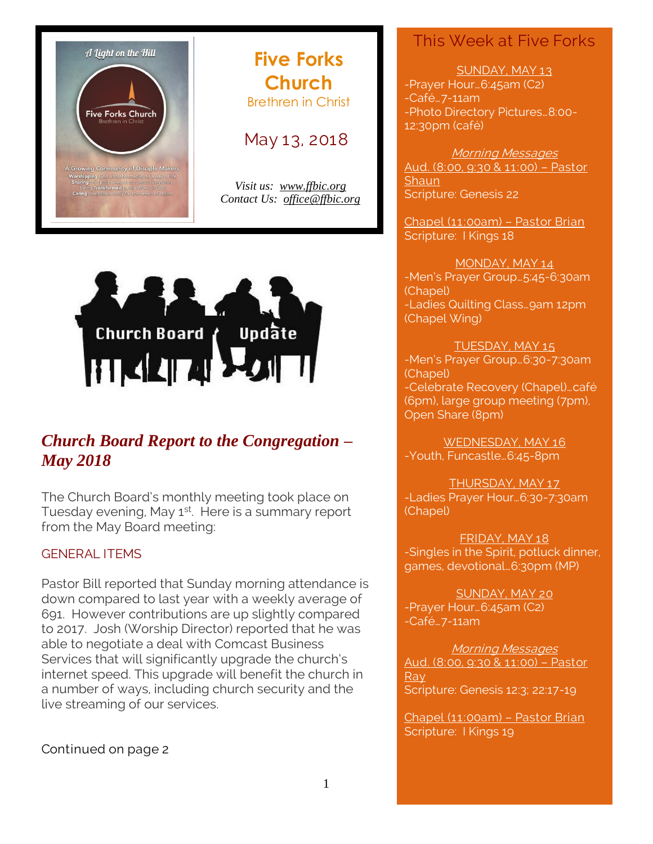

# **Five Forks Church** Brethren in Christ

# May 13, 2018

*Visit us: [www.ffbic.org](http://www.ffbic.org/) Contact Us: [office@ffbic.org](mailto:office@ffbic.org)*



# *Church Board Report to the Congregation – May 2018*

The Church Board's monthly meeting took place on Tuesday evening, May 1<sup>st</sup>. Here is a summary report from the May Board meeting:

#### GENERAL ITEMS

Pastor Bill reported that Sunday morning attendance is down compared to last year with a weekly average of 691. However contributions are up slightly compared to 2017. Josh (Worship Director) reported that he was able to negotiate a deal with Comcast Business Services that will significantly upgrade the church's internet speed. This upgrade will benefit the church in a number of ways, including church security and the live streaming of our services.

### Continued on page 2

# This Week at Five Forks

#### SUNDAY, MAY 13

-Prayer Hour…6:45am (C2) -Café…7-11am -Photo Directory Pictures…8:00- 12:30pm (café)

#### Morning Messages

Aud. (8:00, 9:30 & 11:00) – Pastor **Shaun** Scripture: Genesis 22

Chapel (11:00am) – Pastor Brian Scripture: I Kings 18

#### MONDAY, MAY 14

-Men's Prayer Group…5:45-6:30am (Chapel) -Ladies Quilting Class…9am 12pm (Chapel Wing)

TUESDAY, MAY 15

-Men's Prayer Group…6:30-7:30am (Chapel) -Celebrate Recovery (Chapel)…café (6pm), large group meeting (7pm), Open Share (8pm)

WEDNESDAY, MAY 16 -Youth, Funcastle…6:45-8pm

THURSDAY, MAY 17 -Ladies Prayer Hour…6:30-7:30am (Chapel)

FRIDAY, MAY 18 -Singles in the Spirit, potluck dinner, games, devotional…6:30pm (MP)

SUNDAY, MAY 20 -Prayer Hour…6:45am (C2) -Café…7-11am

Morning Messages Aud. (8:00, 9:30 & 11:00) – Pastor Ray<sup>1</sup> Scripture: Genesis 12:3; 22:17-19

Chapel (11:00am) – Pastor Brian Scripture: I Kings 19

1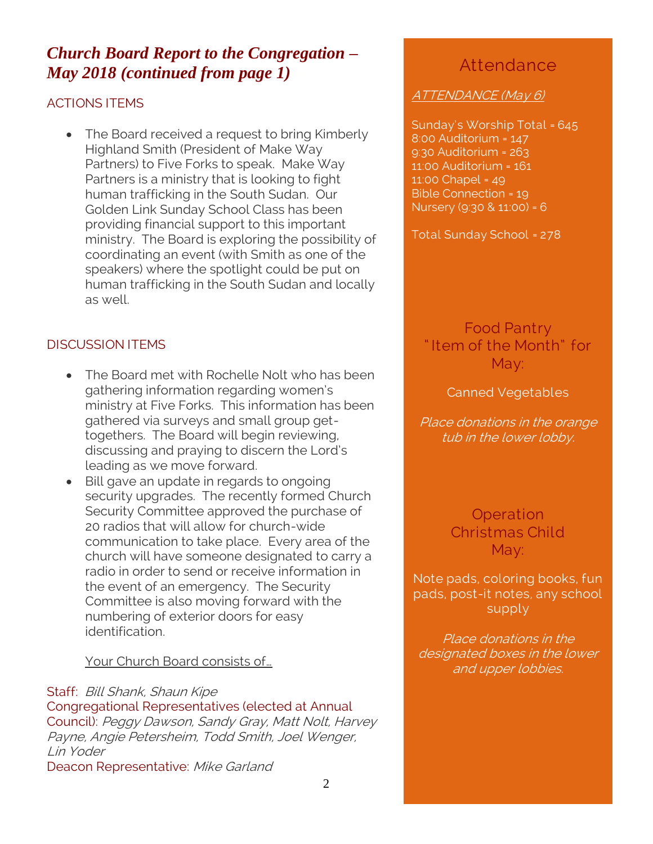# *Church Board Report to the Congregation – May 2018 (continued from page 1)*

### ACTIONS ITEMS

• The Board received a request to bring Kimberly Highland Smith (President of Make Way Partners) to Five Forks to speak. Make Way Partners is a ministry that is looking to fight human trafficking in the South Sudan. Our Golden Link Sunday School Class has been providing financial support to this important ministry. The Board is exploring the possibility of coordinating an event (with Smith as one of the speakers) where the spotlight could be put on human trafficking in the South Sudan and locally as well.

## DISCUSSION ITEMS

- The Board met with Rochelle Nolt who has been gathering information regarding women's ministry at Five Forks. This information has been gathered via surveys and small group gettogethers. The Board will begin reviewing, discussing and praying to discern the Lord's leading as we move forward.
- Bill gave an update in regards to ongoing security upgrades. The recently formed Church Security Committee approved the purchase of 20 radios that will allow for church-wide communication to take place. Every area of the church will have someone designated to carry a radio in order to send or receive information in the event of an emergency. The Security Committee is also moving forward with the numbering of exterior doors for easy identification.

#### Your Church Board consists of…

#### Staff: Bill Shank, Shaun Kipe

Congregational Representatives (elected at Annual Council): Peggy Dawson, Sandy Gray, Matt Nolt, Harvey Payne, Angie Petersheim, Todd Smith, Joel Wenger, Lin Yoder Deacon Representative: Mike Garland

# Attendance

#### ATTENDANCE (May 6)

Sunday's Worship Total = 645 8:00 Auditorium = 147 9:30 Auditorium = 263 11:00 Auditorium = 161 11:00 Chapel = 49 Bible Connection = 19 Nursery (9:30 & 11:00) = 6

Total Sunday School = 278

Food Pantry " Item of the Month" for May:

Canned Vegetables

Place donations in the orange tub in the lower lobby.

> **Operation** Christmas Child May:

Note pads, coloring books, fun pads, post-it notes, any school supply

Place donations in the designated boxes in the lower and upper lobbies.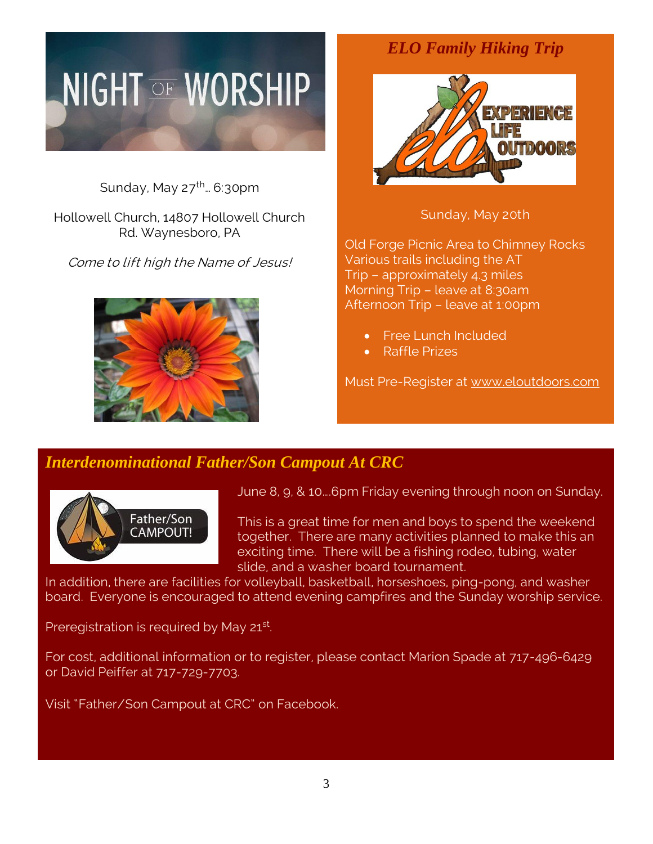# **NIGHT OF WORSHIP**

Sunday, May  $27^{\text{th}}$ ... 6:30pm

Hollowell Church, 14807 Hollowell Church Rd. Waynesboro, PA

Come to lift high the Name of Jesus!



# *ELO Family Hiking Trip*



Sunday, May 20th

Old Forge Picnic Area to Chimney Rocks Various trails including the AT Trip – approximately 4.3 miles Morning Trip – leave at 8:30am Afternoon Trip – leave at 1:00pm

- Free Lunch Included
- Raffle Prizes

Must Pre-Register at [www.eloutdoors.com](http://www.eloutdoors.com/)

# *Interdenominational Father/Son Campout At CRC*



June 8, 9, & 10….6pm Friday evening through noon on Sunday.

This is a great time for men and boys to spend the weekend together. There are many activities planned to make this an exciting time. There will be a fishing rodeo, tubing, water slide, and a washer board tournament.

In addition, there are facilities for volleyball, basketball, horseshoes, ping-pong, and washer board. Everyone is encouraged to attend evening campfires and the Sunday worship service.

Preregistration is required by May 21<sup>st</sup>.

For cost, additional information or to register, please contact Marion Spade at 717-496-6429 or David Peiffer at 717-729-7703.

Visit "Father/Son Campout at CRC" on Facebook.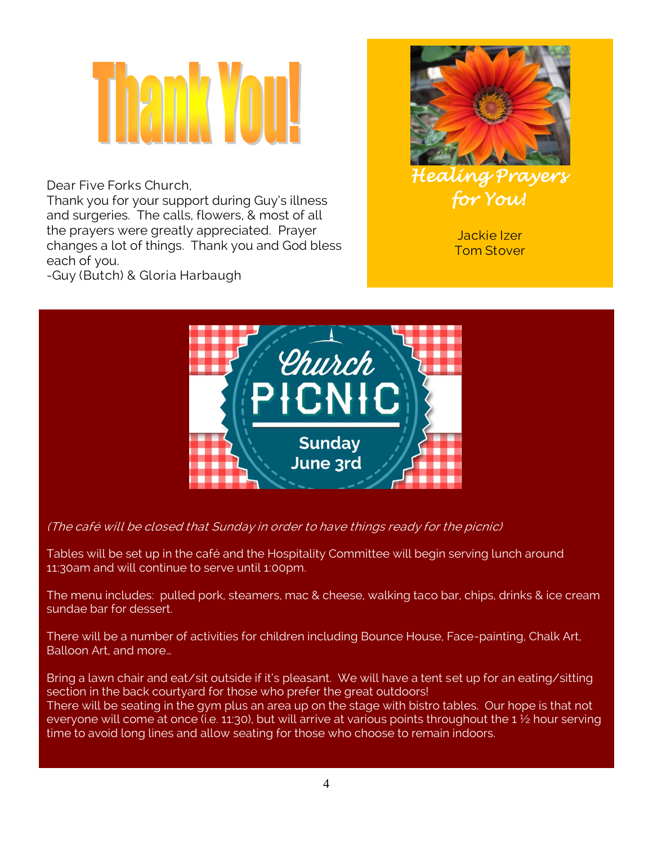Dear Five Forks Church,

Thank you for your support during Guy's illness and surgeries. The calls, flowers, & most of all the prayers were greatly appreciated. Prayer changes a lot of things. Thank you and God bless each of you.





Jackie Izer Tom Stover



(The café will be closed that Sunday in order to have things ready for the picnic)

Tables will be set up in the café and the Hospitality Committee will begin serving lunch around 11:30am and will continue to serve until 1:00pm.

The menu includes: pulled pork, steamers, mac & cheese, walking taco bar, chips, drinks & ice cream sundae bar for dessert.

There will be a number of activities for children including Bounce House, Face-painting, Chalk Art, Balloon Art, and more…

Bring a lawn chair and eat/sit outside if it's pleasant. We will have a tent set up for an eating/sitting section in the back courtyard for those who prefer the great outdoors! There will be seating in the gym plus an area up on the stage with bistro tables. Our hope is that not everyone will come at once (i.e. 11:30), but will arrive at various points throughout the 1 ½ hour serving time to avoid long lines and allow seating for those who choose to remain indoors.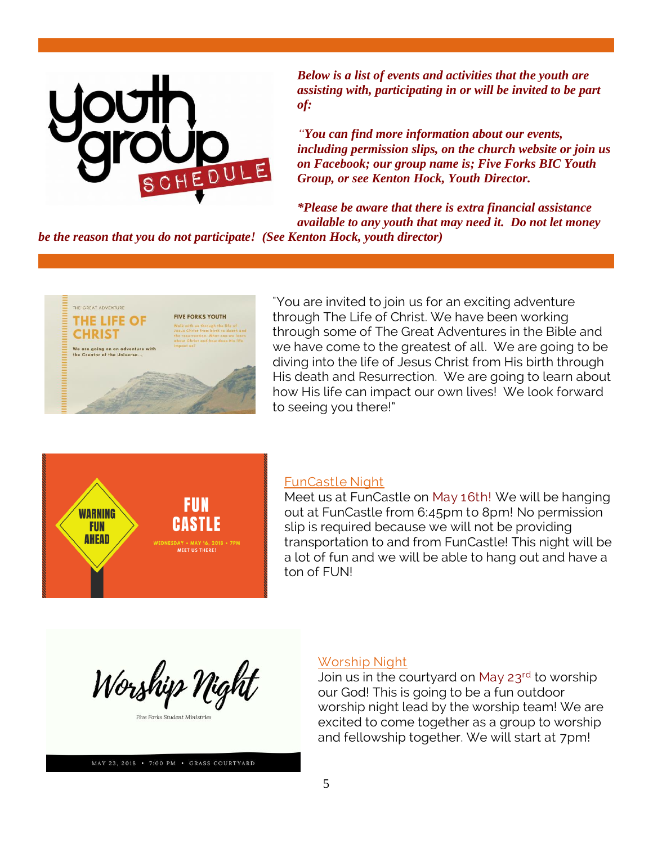

*Below is a list of events and activities that the youth are assisting with, participating in or will be invited to be part of:*

*"You can find more information about our events, including permission slips, on the church website or join us on Facebook; our group name is; Five Forks BIC Youth Group, or see Kenton Hock, Youth Director.*

*\*Please be aware that there is extra financial assistance available to any youth that may need it. Do not let money be the reason that you do not participate! (See Kenton Hock, youth director)*

THE GREAT ADVENTURE **FIVE FORKS YOUTH** THE LIFE OF **CHRIST** are going on an adventu<br>Creator of the Universe.

"You are invited to join us for an exciting adventure through The Life of Christ. We have been working through some of The Great Adventures in the Bible and we have come to the greatest of all. We are going to be diving into the life of Jesus Christ from His birth through His death and Resurrection. We are going to learn about how His life can impact our own lives! We look forward to seeing you there!"



#### FunCastle Night

Meet us at FunCastle on May 16th! We will be hanging out at FunCastle from 6:45pm to 8pm! No permission slip is required because we will not be providing transportation to and from FunCastle! This night will be a lot of fun and we will be able to hang out and have a ton of FUN!



MAY 23, 2018 . 7:00 PM . GRASS COURTYARD

#### Worship Night

Join us in the courtyard on May  $23^{\text{rd}}$  to worship our God! This is going to be a fun outdoor worship night lead by the worship team! We are excited to come together as a group to worship and fellowship together. We will start at 7pm!